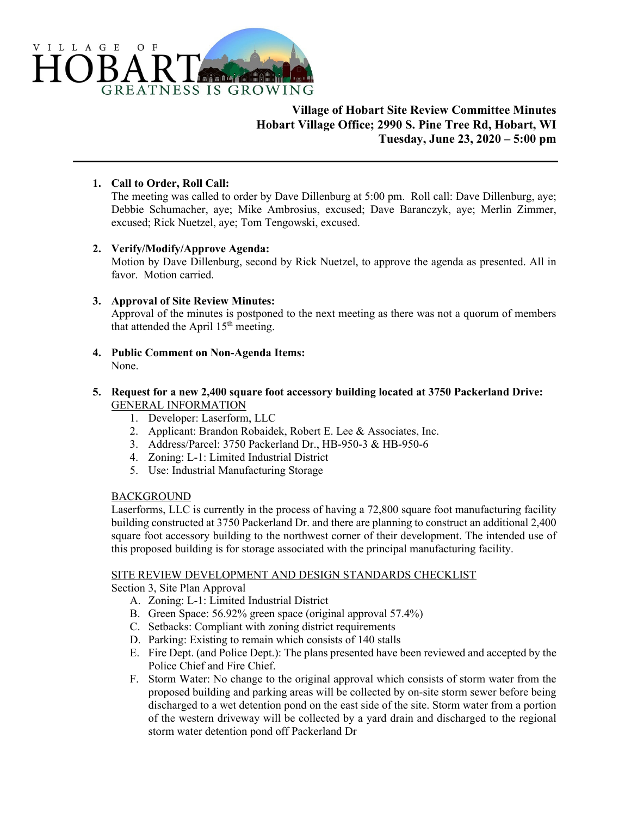

# **Village of Hobart Site Review Committee Minutes Hobart Village Office; 2990 S. Pine Tree Rd, Hobart, WI Tuesday, June 23, 2020 – 5:00 pm**

## **1. Call to Order, Roll Call:**

The meeting was called to order by Dave Dillenburg at 5:00 pm. Roll call: Dave Dillenburg, aye; Debbie Schumacher, aye; Mike Ambrosius, excused; Dave Baranczyk, aye; Merlin Zimmer, excused; Rick Nuetzel, aye; Tom Tengowski, excused.

### **2. Verify/Modify/Approve Agenda:**

Motion by Dave Dillenburg, second by Rick Nuetzel, to approve the agenda as presented. All in favor. Motion carried.

### **3. Approval of Site Review Minutes:**

Approval of the minutes is postponed to the next meeting as there was not a quorum of members that attended the April  $15<sup>th</sup>$  meeting.

**4. Public Comment on Non-Agenda Items:**  None.

#### **5. Request for a new 2,400 square foot accessory building located at 3750 Packerland Drive:**  GENERAL INFORMATION

- 1. Developer: Laserform, LLC
- 2. Applicant: Brandon Robaidek, Robert E. Lee & Associates, Inc.
- 3. Address/Parcel: 3750 Packerland Dr., HB-950-3 & HB-950-6
- 4. Zoning: L-1: Limited Industrial District
- 5. Use: Industrial Manufacturing Storage

### BACKGROUND

Laserforms, LLC is currently in the process of having a 72,800 square foot manufacturing facility building constructed at 3750 Packerland Dr. and there are planning to construct an additional 2,400 square foot accessory building to the northwest corner of their development. The intended use of this proposed building is for storage associated with the principal manufacturing facility.

### SITE REVIEW DEVELOPMENT AND DESIGN STANDARDS CHECKLIST

Section 3, Site Plan Approval

- A. Zoning: L-1: Limited Industrial District
- B. Green Space: 56.92% green space (original approval 57.4%)
- C. Setbacks: Compliant with zoning district requirements
- D. Parking: Existing to remain which consists of 140 stalls
- E. Fire Dept. (and Police Dept.): The plans presented have been reviewed and accepted by the Police Chief and Fire Chief.
- F. Storm Water: No change to the original approval which consists of storm water from the proposed building and parking areas will be collected by on-site storm sewer before being discharged to a wet detention pond on the east side of the site. Storm water from a portion of the western driveway will be collected by a yard drain and discharged to the regional storm water detention pond off Packerland Dr